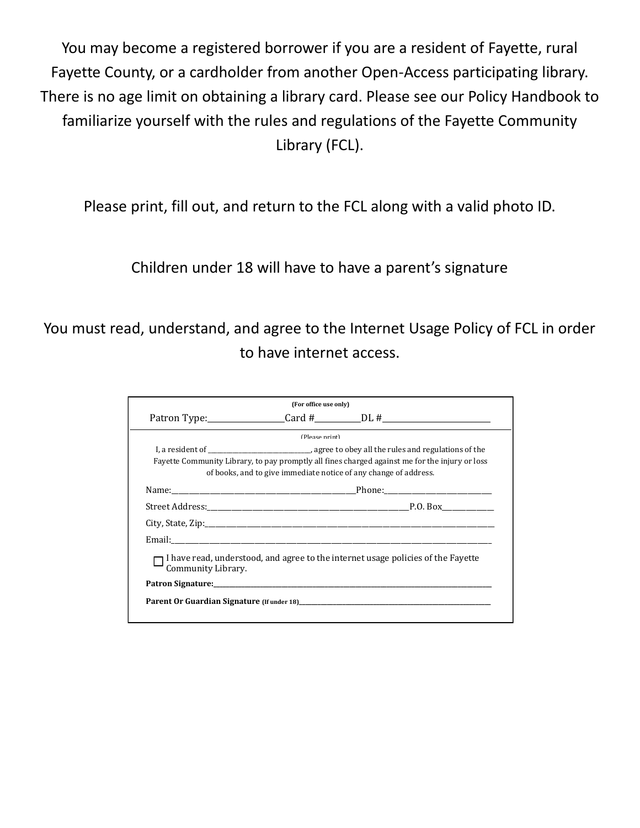You may become a registered borrower if you are a resident of Fayette, rural Fayette County, or a cardholder from another Open-Access participating library. There is no age limit on obtaining a library card. Please see our Policy Handbook to familiarize yourself with the rules and regulations of the Fayette Community Library (FCL).

Please print, fill out, and return to the FCL along with a valid photo ID.

Children under 18 will have to have a parent's signature

You must read, understand, and agree to the Internet Usage Policy of FCL in order to have internet access.

|                    | (For office use only)                                                                                                                                                                                                          |                                                                                                                                                                                                                                |
|--------------------|--------------------------------------------------------------------------------------------------------------------------------------------------------------------------------------------------------------------------------|--------------------------------------------------------------------------------------------------------------------------------------------------------------------------------------------------------------------------------|
|                    |                                                                                                                                                                                                                                |                                                                                                                                                                                                                                |
|                    | (Please print)                                                                                                                                                                                                                 |                                                                                                                                                                                                                                |
|                    |                                                                                                                                                                                                                                | Fayette Community Library, to pay promptly all fines charged against me for the injury or loss<br>of books, and to give immediate notice of any change of address.                                                             |
|                    | Name: Phone: Phone: Phone: Phone: Phone: Phone: Phone: Phone: Phone: Phone: Phone: Phone: Phone: Phone: Phone: Phone: Phone: Phone: Phone: Phone: Phone: Phone: Phone: Phone: Phone: Phone: Phone: Phone: Phone: Phone: Phone: |                                                                                                                                                                                                                                |
|                    |                                                                                                                                                                                                                                |                                                                                                                                                                                                                                |
|                    |                                                                                                                                                                                                                                |                                                                                                                                                                                                                                |
|                    |                                                                                                                                                                                                                                |                                                                                                                                                                                                                                |
| Community Library. |                                                                                                                                                                                                                                | I have read, understood, and agree to the internet usage policies of the Favette                                                                                                                                               |
|                    |                                                                                                                                                                                                                                | Patron Signature: the contract of the contract of the contract of the contract of the contract of the contract of the contract of the contract of the contract of the contract of the contract of the contract of the contract |
|                    |                                                                                                                                                                                                                                |                                                                                                                                                                                                                                |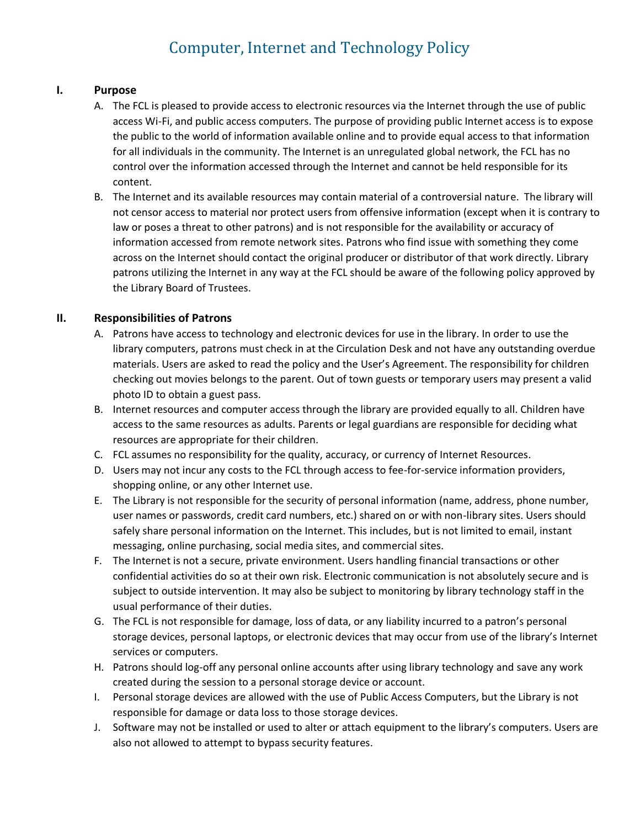# Computer, Internet and Technology Policy

#### **I. Purpose**

- A. The FCL is pleased to provide access to electronic resources via the Internet through the use of public access Wi-Fi, and public access computers. The purpose of providing public Internet access is to expose the public to the world of information available online and to provide equal access to that information for all individuals in the community. The Internet is an unregulated global network, the FCL has no control over the information accessed through the Internet and cannot be held responsible for its content.
- B. The Internet and its available resources may contain material of a controversial nature. The library will not censor access to material nor protect users from offensive information (except when it is contrary to law or poses a threat to other patrons) and is not responsible for the availability or accuracy of information accessed from remote network sites. Patrons who find issue with something they come across on the Internet should contact the original producer or distributor of that work directly. Library patrons utilizing the Internet in any way at the FCL should be aware of the following policy approved by the Library Board of Trustees.

#### **II. Responsibilities of Patrons**

- A. Patrons have access to technology and electronic devices for use in the library. In order to use the library computers, patrons must check in at the Circulation Desk and not have any outstanding overdue materials. Users are asked to read the policy and the User's Agreement. The responsibility for children checking out movies belongs to the parent. Out of town guests or temporary users may present a valid photo ID to obtain a guest pass.
- B. Internet resources and computer access through the library are provided equally to all. Children have access to the same resources as adults. Parents or legal guardians are responsible for deciding what resources are appropriate for their children.
- C. FCL assumes no responsibility for the quality, accuracy, or currency of Internet Resources.
- D. Users may not incur any costs to the FCL through access to fee-for-service information providers, shopping online, or any other Internet use.
- E. The Library is not responsible for the security of personal information (name, address, phone number, user names or passwords, credit card numbers, etc.) shared on or with non-library sites. Users should safely share personal information on the Internet. This includes, but is not limited to email, instant messaging, online purchasing, social media sites, and commercial sites.
- F. The Internet is not a secure, private environment. Users handling financial transactions or other confidential activities do so at their own risk. Electronic communication is not absolutely secure and is subject to outside intervention. It may also be subject to monitoring by library technology staff in the usual performance of their duties.
- G. The FCL is not responsible for damage, loss of data, or any liability incurred to a patron's personal storage devices, personal laptops, or electronic devices that may occur from use of the library's Internet services or computers.
- H. Patrons should log-off any personal online accounts after using library technology and save any work created during the session to a personal storage device or account.
- I. Personal storage devices are allowed with the use of Public Access Computers, but the Library is not responsible for damage or data loss to those storage devices.
- J. Software may not be installed or used to alter or attach equipment to the library's computers. Users are also not allowed to attempt to bypass security features.